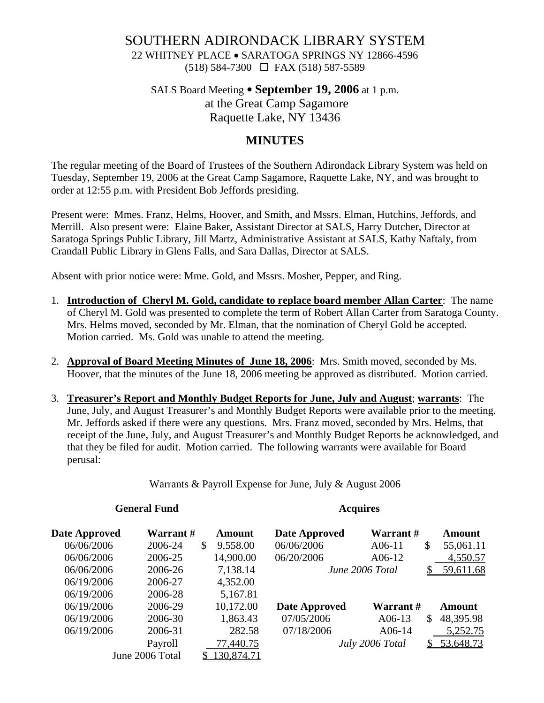# SOUTHERN ADIRONDACK LIBRARY SYSTEM

22 WHITNEY PLACE • SARATOGA SPRINGS NY 12866-4596 (518) 584-7300 FAX (518) 587-5589

## SALS Board Meeting • **September 19, 2006** at 1 p.m. at the Great Camp Sagamore Raquette Lake, NY 13436

## **MINUTES**

The regular meeting of the Board of Trustees of the Southern Adirondack Library System was held on Tuesday, September 19, 2006 at the Great Camp Sagamore, Raquette Lake, NY, and was brought to order at 12:55 p.m. with President Bob Jeffords presiding.

Present were: Mmes. Franz, Helms, Hoover, and Smith, and Mssrs. Elman, Hutchins, Jeffords, and Merrill. Also present were: Elaine Baker, Assistant Director at SALS, Harry Dutcher, Director at Saratoga Springs Public Library, Jill Martz, Administrative Assistant at SALS, Kathy Naftaly, from Crandall Public Library in Glens Falls, and Sara Dallas, Director at SALS.

Absent with prior notice were: Mme. Gold, and Mssrs. Mosher, Pepper, and Ring.

- 1. **Introduction of Cheryl M. Gold, candidate to replace board member Allan Carter**: The name of Cheryl M. Gold was presented to complete the term of Robert Allan Carter from Saratoga County. Mrs. Helms moved, seconded by Mr. Elman, that the nomination of Cheryl Gold be accepted. Motion carried. Ms. Gold was unable to attend the meeting.
- 2. **Approval of Board Meeting Minutes of June 18, 2006**: Mrs. Smith moved, seconded by Ms. Hoover, that the minutes of the June 18, 2006 meeting be approved as distributed. Motion carried.
- 3. **Treasurer's Report and Monthly Budget Reports for June, July and August**; **warrants**: The June, July, and August Treasurer's and Monthly Budget Reports were available prior to the meeting. Mr. Jeffords asked if there were any questions. Mrs. Franz moved, seconded by Mrs. Helms, that receipt of the June, July, and August Treasurer's and Monthly Budget Reports be acknowledged, and that they be filed for audit. Motion carried. The following warrants were available for Board perusal:

Warrants & Payroll Expense for June, July & August 2006

### **General Fund Acquires**

| Date Approved | Warrant#        | Amount                   | Date Approved        | Warrant #       |               | Amount    |
|---------------|-----------------|--------------------------|----------------------|-----------------|---------------|-----------|
| 06/06/2006    | 2006-24         | $\mathbb{S}$<br>9,558.00 | 06/06/2006           | $A06-11$        | \$            | 55,061.11 |
| 06/06/2006    | 2006-25         | 14,900.00                | 06/20/2006           | $A06-12$        |               | 4,550.57  |
| 06/06/2006    | 2006-26         | 7,138.14                 |                      | June 2006 Total |               | 59,611.68 |
| 06/19/2006    | 2006-27         | 4,352.00                 |                      |                 |               |           |
| 06/19/2006    | 2006-28         | 5,167.81                 |                      |                 |               |           |
| 06/19/2006    | 2006-29         | 10,172.00                | <b>Date Approved</b> | Warrant#        |               | Amount    |
| 06/19/2006    | 2006-30         | 1,863.43                 | 07/05/2006           | $A06-13$        | <sup>\$</sup> | 48,395.98 |
| 06/19/2006    | 2006-31         | 282.58                   | 07/18/2006           | A06-14          |               | 5,252.75  |
|               | Payroll         | 77,440.75                |                      | July 2006 Total |               | 53,648.73 |
|               | June 2006 Total | 130,874.71               |                      |                 |               |           |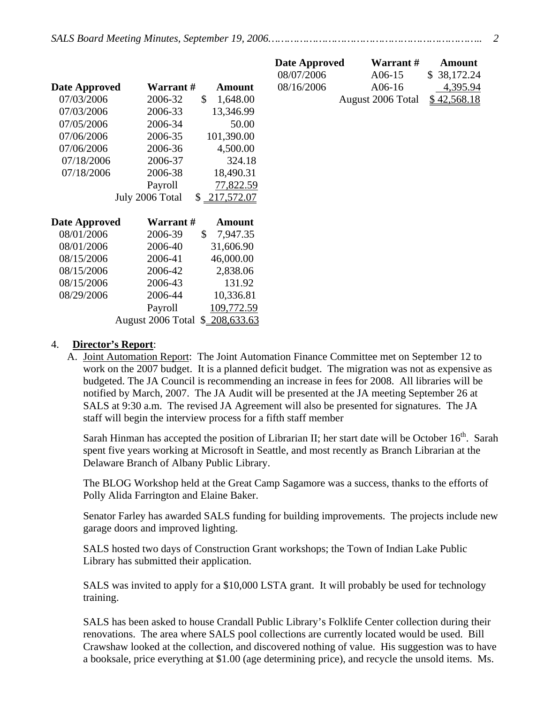|                      |                                 |                          | Date Approved | Warrant #         | <b>Amount</b>   |
|----------------------|---------------------------------|--------------------------|---------------|-------------------|-----------------|
|                      |                                 |                          | 08/07/2006    | A06-15            | 38,172.24<br>\$ |
| <b>Date Approved</b> | <b>Warrant</b> #                | <b>Amount</b>            | 08/16/2006    | $A06-16$          | 4,395.94        |
| 07/03/2006           | 2006-32                         | \$<br>1,648.00           |               | August 2006 Total | \$42,568.18     |
| 07/03/2006           | 2006-33                         | 13,346.99                |               |                   |                 |
| 07/05/2006           | 2006-34                         | 50.00                    |               |                   |                 |
| 07/06/2006           | 2006-35                         | 101,390.00               |               |                   |                 |
| 07/06/2006           | 2006-36                         | 4,500.00                 |               |                   |                 |
| 07/18/2006           | 2006-37                         | 324.18                   |               |                   |                 |
| 07/18/2006           | 2006-38                         | 18,490.31                |               |                   |                 |
|                      | Payroll                         | 77,822.59                |               |                   |                 |
|                      | July 2006 Total                 | \$217,572.07             |               |                   |                 |
|                      |                                 |                          |               |                   |                 |
| <b>Date Approved</b> | Warrant #                       | <b>Amount</b>            |               |                   |                 |
| 08/01/2006           | 2006-39                         | $\mathbb{S}$<br>7,947.35 |               |                   |                 |
| 08/01/2006           | 2006-40                         | 31,606.90                |               |                   |                 |
| 08/15/2006           | 2006-41                         | 46,000.00                |               |                   |                 |
| 08/15/2006           | 2006-42                         | 2,838.06                 |               |                   |                 |
| 08/15/2006           | 2006-43                         | 131.92                   |               |                   |                 |
| 08/29/2006           | 2006-44                         | 10,336.81                |               |                   |                 |
|                      | Payroll                         | 109,772.59               |               |                   |                 |
|                      | August 2006 Total \$ 208,633.63 |                          |               |                   |                 |

### 4. **Director's Report**:

A. Joint Automation Report: The Joint Automation Finance Committee met on September 12 to work on the 2007 budget. It is a planned deficit budget. The migration was not as expensive as budgeted. The JA Council is recommending an increase in fees for 2008. All libraries will be notified by March, 2007. The JA Audit will be presented at the JA meeting September 26 at SALS at 9:30 a.m. The revised JA Agreement will also be presented for signatures. The JA staff will begin the interview process for a fifth staff member

Sarah Hinman has accepted the position of Librarian II; her start date will be October 16<sup>th</sup>. Sarah spent five years working at Microsoft in Seattle, and most recently as Branch Librarian at the Delaware Branch of Albany Public Library.

The BLOG Workshop held at the Great Camp Sagamore was a success, thanks to the efforts of Polly Alida Farrington and Elaine Baker.

Senator Farley has awarded SALS funding for building improvements. The projects include new garage doors and improved lighting.

 SALS hosted two days of Construction Grant workshops; the Town of Indian Lake Public Library has submitted their application.

SALS was invited to apply for a \$10,000 LSTA grant. It will probably be used for technology training.

SALS has been asked to house Crandall Public Library's Folklife Center collection during their renovations. The area where SALS pool collections are currently located would be used. Bill Crawshaw looked at the collection, and discovered nothing of value. His suggestion was to have a booksale, price everything at \$1.00 (age determining price), and recycle the unsold items. Ms.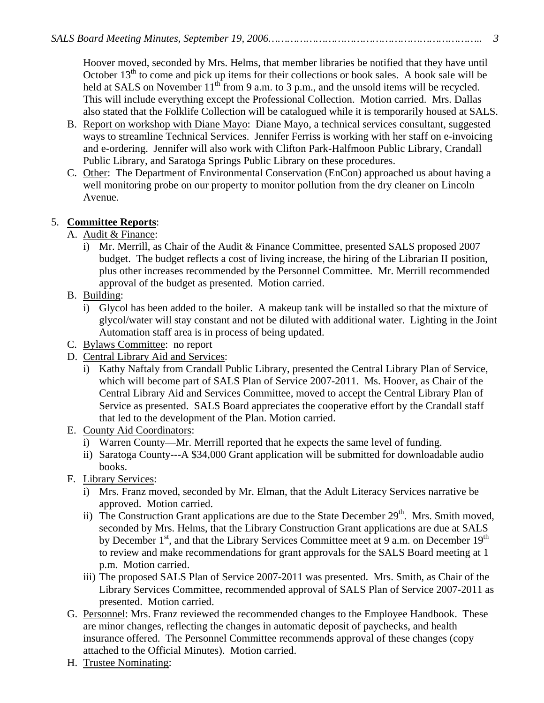Hoover moved, seconded by Mrs. Helms, that member libraries be notified that they have until October  $13<sup>th</sup>$  to come and pick up items for their collections or book sales. A book sale will be held at SALS on November  $11^{th}$  from 9 a.m. to 3 p.m., and the unsold items will be recycled. This will include everything except the Professional Collection. Motion carried. Mrs. Dallas also stated that the Folklife Collection will be catalogued while it is temporarily housed at SALS.

- B. Report on workshop with Diane Mayo: Diane Mayo, a technical services consultant, suggested ways to streamline Technical Services. Jennifer Ferriss is working with her staff on e-invoicing and e-ordering. Jennifer will also work with Clifton Park-Halfmoon Public Library, Crandall Public Library, and Saratoga Springs Public Library on these procedures.
- C. Other: The Department of Environmental Conservation (EnCon) approached us about having a well monitoring probe on our property to monitor pollution from the dry cleaner on Lincoln Avenue.

## 5. **Committee Reports**:

- A. Audit & Finance:
	- i) Mr. Merrill, as Chair of the Audit & Finance Committee, presented SALS proposed 2007 budget. The budget reflects a cost of living increase, the hiring of the Librarian II position, plus other increases recommended by the Personnel Committee. Mr. Merrill recommended approval of the budget as presented. Motion carried.
- B. Building:
	- i) Glycol has been added to the boiler. A makeup tank will be installed so that the mixture of glycol/water will stay constant and not be diluted with additional water. Lighting in the Joint Automation staff area is in process of being updated.
- C. Bylaws Committee: no report
- D. Central Library Aid and Services:
	- i) Kathy Naftaly from Crandall Public Library, presented the Central Library Plan of Service, which will become part of SALS Plan of Service 2007-2011. Ms. Hoover, as Chair of the Central Library Aid and Services Committee, moved to accept the Central Library Plan of Service as presented. SALS Board appreciates the cooperative effort by the Crandall staff that led to the development of the Plan. Motion carried.
- E. County Aid Coordinators:
	- i) Warren County—Mr. Merrill reported that he expects the same level of funding.
	- ii) Saratoga County---A \$34,000 Grant application will be submitted for downloadable audio books.
- F. Library Services:
	- i) Mrs. Franz moved, seconded by Mr. Elman, that the Adult Literacy Services narrative be approved. Motion carried.
	- ii) The Construction Grant applications are due to the State December  $29<sup>th</sup>$ . Mrs. Smith moved, seconded by Mrs. Helms, that the Library Construction Grant applications are due at SALS by December  $1<sup>st</sup>$ , and that the Library Services Committee meet at 9 a.m. on December  $19<sup>th</sup>$ to review and make recommendations for grant approvals for the SALS Board meeting at 1 p.m. Motion carried.
	- iii) The proposed SALS Plan of Service 2007-2011 was presented. Mrs. Smith, as Chair of the Library Services Committee, recommended approval of SALS Plan of Service 2007-2011 as presented. Motion carried.
- G. Personnel: Mrs. Franz reviewed the recommended changes to the Employee Handbook. These are minor changes, reflecting the changes in automatic deposit of paychecks, and health insurance offered. The Personnel Committee recommends approval of these changes (copy attached to the Official Minutes). Motion carried.
- H. Trustee Nominating: